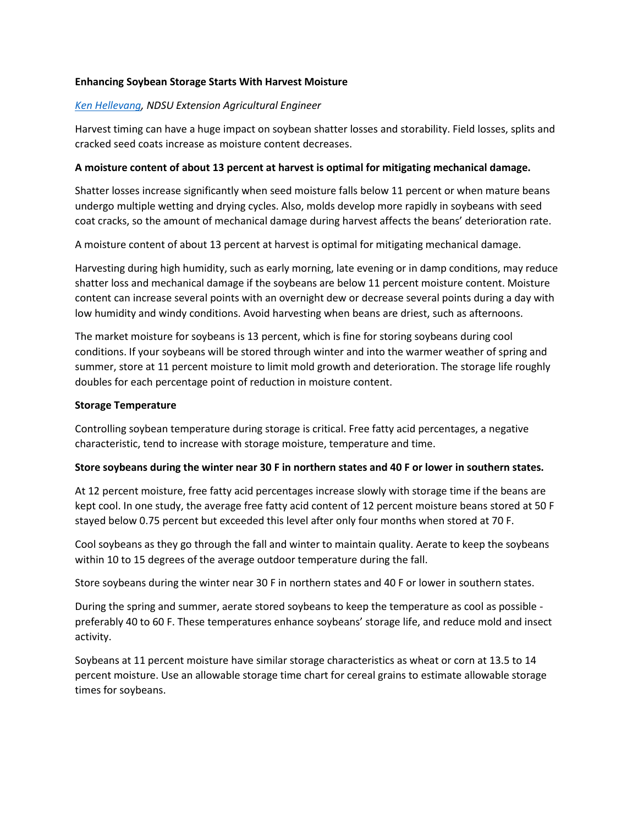# **Enhancing Soybean Storage Starts With Harvest Moisture**

### *[Ken Hellevang,](mailto:kenneth.hellevang@ndsu.edu) NDSU Extension Agricultural Engineer*

Harvest timing can have a huge impact on soybean shatter losses and storability. Field losses, splits and cracked seed coats increase as moisture content decreases.

## **A moisture content of about 13 percent at harvest is optimal for mitigating mechanical damage.**

Shatter losses increase significantly when seed moisture falls below 11 percent or when mature beans undergo multiple wetting and drying cycles. Also, molds develop more rapidly in soybeans with seed coat cracks, so the amount of mechanical damage during harvest affects the beans' deterioration rate.

A moisture content of about 13 percent at harvest is optimal for mitigating mechanical damage.

Harvesting during high humidity, such as early morning, late evening or in damp conditions, may reduce shatter loss and mechanical damage if the soybeans are below 11 percent moisture content. Moisture content can increase several points with an overnight dew or decrease several points during a day with low humidity and windy conditions. Avoid harvesting when beans are driest, such as afternoons.

The market moisture for soybeans is 13 percent, which is fine for storing soybeans during cool conditions. If your soybeans will be stored through winter and into the warmer weather of spring and summer, store at 11 percent moisture to limit mold growth and deterioration. The storage life roughly doubles for each percentage point of reduction in moisture content.

#### **Storage Temperature**

Controlling soybean temperature during storage is critical. Free fatty acid percentages, a negative characteristic, tend to increase with storage moisture, temperature and time.

#### **Store soybeans during the winter near 30 F in northern states and 40 F or lower in southern states.**

At 12 percent moisture, free fatty acid percentages increase slowly with storage time if the beans are kept cool. In one study, the average free fatty acid content of 12 percent moisture beans stored at 50 F stayed below 0.75 percent but exceeded this level after only four months when stored at 70 F.

Cool soybeans as they go through the fall and winter to maintain quality. Aerate to keep the soybeans within 10 to 15 degrees of the average outdoor temperature during the fall.

Store soybeans during the winter near 30 F in northern states and 40 F or lower in southern states.

During the spring and summer, aerate stored soybeans to keep the temperature as cool as possible preferably 40 to 60 F. These temperatures enhance soybeans' storage life, and reduce mold and insect activity.

Soybeans at 11 percent moisture have similar storage characteristics as wheat or corn at 13.5 to 14 percent moisture. Use an allowable storage time chart for cereal grains to estimate allowable storage times for soybeans.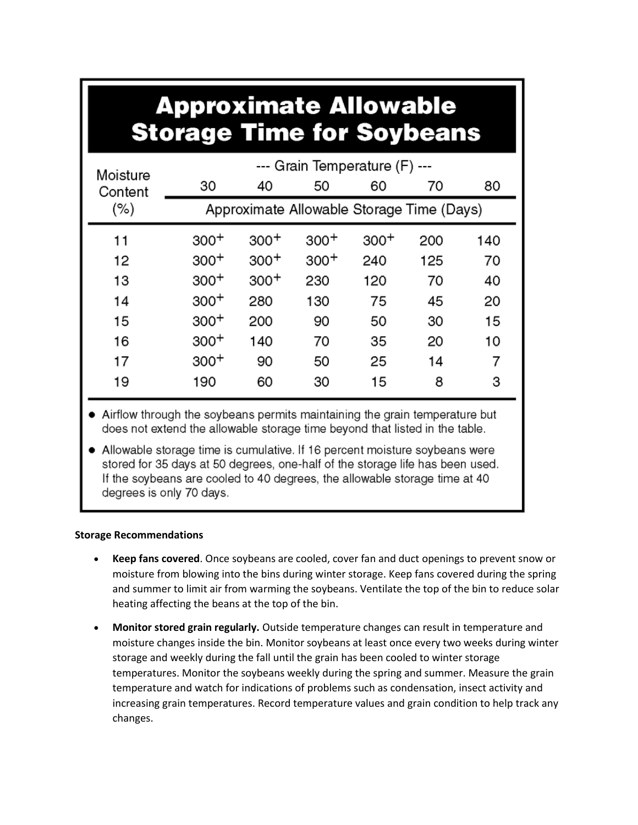# **Approximate Allowable Storage Time for Soybeans**

| Moisture<br>Content<br>$(\% )$ | --- Grain Temperature (F) ---             |        |        |        |     |     |
|--------------------------------|-------------------------------------------|--------|--------|--------|-----|-----|
|                                | 30                                        | 40     | 50     | 60     | 70  | 80  |
|                                | Approximate Allowable Storage Time (Days) |        |        |        |     |     |
| 11                             | $300+$                                    | $300+$ | $300+$ | $300+$ | 200 | 140 |
| 12                             | $300+$                                    | $300+$ | $300+$ | 240    | 125 | 70  |
| 13                             | $300+$                                    | $300+$ | 230    | 120    | 70  | 40  |
| 14                             | $300+$                                    | 280    | 130    | 75     | 45  | 20  |
| 15                             | $300+$                                    | 200    | 90     | 50     | 30  | 15  |
| 16                             | $300+$                                    | 140    | 70     | 35     | 20  | 10  |
| 17                             | $300+$                                    | 90     | 50     | 25     | 14  | 7   |
| 19                             | 190                                       | 60     | 30     | 15     | 8   | 3   |

- Airflow through the soybeans permits maintaining the grain temperature but does not extend the allowable storage time beyond that listed in the table.
- Allowable storage time is cumulative. If 16 percent moisture soybeans were stored for 35 days at 50 degrees, one-half of the storage life has been used. If the soybeans are cooled to 40 degrees, the allowable storage time at 40 degrees is only 70 days.

# **Storage Recommendations**

- **Keep fans covered**. Once soybeans are cooled, cover fan and duct openings to prevent snow or moisture from blowing into the bins during winter storage. Keep fans covered during the spring and summer to limit air from warming the soybeans. Ventilate the top of the bin to reduce solar heating affecting the beans at the top of the bin.
- **Monitor stored grain regularly.** Outside temperature changes can result in temperature and moisture changes inside the bin. Monitor soybeans at least once every two weeks during winter storage and weekly during the fall until the grain has been cooled to winter storage temperatures. Monitor the soybeans weekly during the spring and summer. Measure the grain temperature and watch for indications of problems such as condensation, insect activity and increasing grain temperatures. Record temperature values and grain condition to help track any changes.